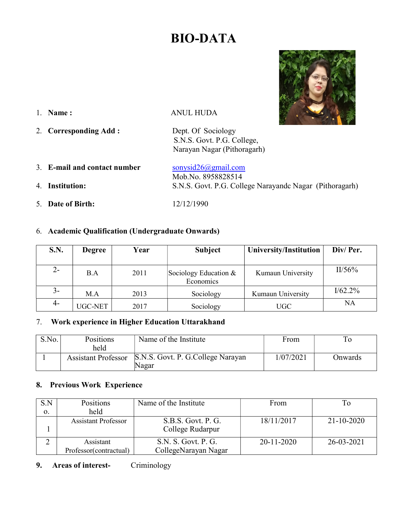# BIO-DATA



1. Name: ANUL HUDA

- 2. Corresponding Add : Dept. Of Sociology S.N.S. Govt. P.G. College, Narayan Nagar (Pithoragarh)
- 3. E-mail and contact number  $\qquad \qquad$  sonysid26@gmail.com Mob.No. 8958828514 4. Institution: S.N.S. Govt. P.G. College Narayandc Nagar (Pithoragarh)
- 5. Date of Birth: 12/12/1990

## 6. Academic Qualification (Undergraduate Onwards)

| <b>S.N.</b> | <b>Degree</b> | Year | <b>Subject</b>                       | University/Institution | Div/Per.  |
|-------------|---------------|------|--------------------------------------|------------------------|-----------|
|             |               |      |                                      |                        |           |
| $2-$        | B.A           | 2011 | Sociology Education $&$<br>Economics | Kumaun University      | $II/56\%$ |
| 3-          | M.A           | 2013 | Sociology                            | Kumaun University      | I/62.2%   |
| 4-          | UGC-NET       | 2017 | Sociology                            | <b>UGC</b>             | NA        |

#### 7. Work experience in Higher Education Uttarakhand

| S.No. | Positions<br>held          | Name of the Institute                      | From      | ıο      |
|-------|----------------------------|--------------------------------------------|-----------|---------|
|       | <b>Assistant Professor</b> | S.N.S. Govt. P. G.College Narayan<br>Nagar | 1/07/2021 | Onwards |

#### 8. Previous Work Experience

| S.N | Positions                  | Name of the Institute | From             | Tо               |
|-----|----------------------------|-----------------------|------------------|------------------|
| 0.  | held                       |                       |                  |                  |
|     | <b>Assistant Professor</b> | S.B.S. Govt. P. G.    | 18/11/2017       | $21 - 10 - 2020$ |
|     |                            | College Rudarpur      |                  |                  |
|     | Assistant                  | S.N. S. Govt. P. G.   | $20 - 11 - 2020$ | 26-03-2021       |
|     | Professor(contractual)     | CollegeNarayan Nagar  |                  |                  |

## 9. Areas of interest- Criminology